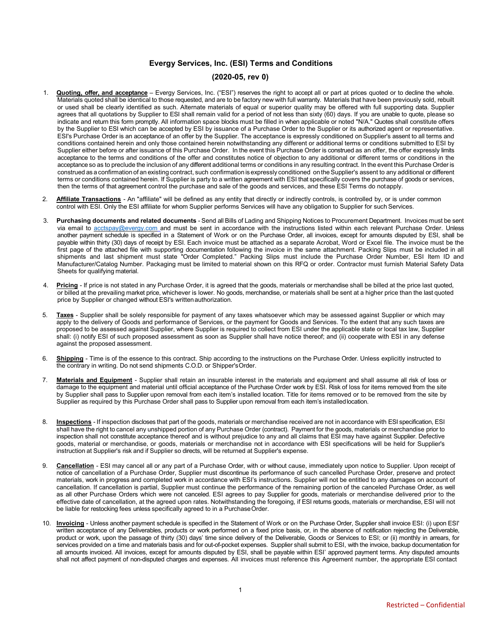# **Evergy Services, Inc. (ESI) Terms and Conditions**

# **(2020-05, rev 0)**

- 1. **Quoting, offer, and acceptance** Evergy Services, Inc. ("ESI") reserves the right to accept all or part at prices quoted or to decline the whole. Materials quoted shall be identical to those requested, and are to be factory new with full warranty. Materials that have been previously sold, rebuilt or used shall be clearly identified as such. Alternate materials of equal or superior quality may be offered with full supporting data. Supplier agrees that all quotations by Supplier to ESI shall remain valid for a period of not less than sixty (60) days. If you are unable to quote, please so indicate and return this form promptly. All information space blocks must be filled in when applicable or noted "N/A." Quotes shall constitute offers by the Supplier to ESI which can be accepted by ESI by issuance of a Purchase Order to the Supplier or its authorized agent or representative. ESI's Purchase Order is an acceptance of an offer by the Supplier. The acceptance is expressly conditioned on Supplier's assent to all terms and conditions contained herein and only those contained herein notwithstanding any different or additional terms or conditions submitted to ESI by Supplier either before or after issuance of this Purchase Order. In the event this Purchase Order is construed as an offer, the offer expressly limits acceptance to the terms and conditions of the offer and constitutes notice of objection to any additional or different terms or conditions in the acceptance so as to preclude the inclusion of any different additional terms or conditions in any resulting contract. In the event this Purchase Order is construed as a confirmation of an existing contract, such confirmation is expressly conditioned on theSupplier's assent to any additional or different terms or conditions contained herein. If Supplier is party to a written agreement with ESI that specifically covers the purchase of goods or services, then the terms of that agreement control the purchase and sale of the goods and services, and these ESI Terms do notapply.
- 2. **Affiliate Transactions** An "affiliate" will be defined as any entity that directly or indirectly controls, is controlled by, or is under common control with ESI. Only the ESI affiliate for whom Supplier performs Services will have any obligation to Supplier for such Services.
- 3. **Purchasing documents and related documents** Send all Bills of Lading and Shipping Notices to Procurement Department. Invoices must be sent via email to [acctspay@evergy.com](mailto:acctspay@evergy.com) and must be sent in accordance with the instructions listed within each relevant Purchase Order. Unless another payment schedule is specified in a Statement of Work or on the Purchase Order, all invoices, except for amounts disputed by ESI, shall be payable within thirty (30) days of receipt by ESI. Each invoice must be attached as a separate Acrobat, Word or Excel file. The invoice must be the first page of the attached file with supporting documentation following the invoice in the same attachment. Packing Slips must be included in all shipments and last shipment must state "Order Completed." Packing Slips must include the Purchase Order Number, ESI Item ID and Manufacturer/Catalog Number. Packaging must be limited to material shown on this RFQ or order. Contractor must furnish Material Safety Data Sheets for qualifying material.
- 4. Pricing If price is not stated in any Purchase Order, it is agreed that the goods, materials or merchandise shall be billed at the price last quoted, or billed at the prevailing market price, whichever is lower. No goods, merchandise, or materials shall be sent at a higher price than the last quoted price by Supplier or changed without ESI's writtenauthorization.
- 5. **Taxes** Supplier shall be solely responsible for payment of any taxes whatsoever which may be assessed against Supplier or which may apply to the delivery of Goods and performance of Services, or the payment for Goods and Services. To the extent that any such taxes are proposed to be assessed against Supplier, where Supplier is required to collect from ESI under the applicable state or local tax law, Supplier shall: (i) notify ESI of such proposed assessment as soon as Supplier shall have notice thereof; and (ii) cooperate with ESI in any defense against the proposed assessment.
- 6. **Shipping** Time is of the essence to this contract. Ship according to the instructions on the Purchase Order. Unless explicitly instructed to the contrary in writing. Do not send shipments C.O.D. or Shipper'sOrder.
- 7. **Materials and Equipment** Supplier shall retain an insurable interest in the materials and equipment and shall assume all risk of loss or damage to the equipment and material until official acceptance of the Purchase Order work by ESI. Risk of loss for items removed from the site by Supplier shall pass to Supplier upon removal from each item's installed location. Title for items removed or to be removed from the site by Supplier as required by this Purchase Order shall pass to Supplier upon removal from each item's installedlocation.
- 8. **Inspections** If inspection discloses that part of the goods, materials or merchandise received are not in accordance with ESI specification, ESI shall have the right to cancel any unshipped portion of any Purchase Order (contract). Payment for the goods, materials or merchandise prior to inspection shall not constitute acceptance thereof and is without prejudice to any and all claims that ESI may have against Supplier. Defective goods, material or merchandise, or goods, materials or merchandise not in accordance with ESI specifications will be held for Supplier's instruction at Supplier's risk and if Supplier so directs, will be returned at Supplier's expense.
- 9. **Cancellation** ESI may cancel all or any part of a Purchase Order, with or without cause, immediately upon notice to Supplier. Upon receipt of notice of cancellation of a Purchase Order, Supplier must discontinue its performance of such cancelled Purchase Order, preserve and protect materials, work in progress and completed work in accordance with ESI's instructions. Supplier will not be entitled to any damages on account of cancellation. If cancellation is partial, Supplier must continue the performance of the remaining portion of the canceled Purchase Order, as well as all other Purchase Orders which were not canceled. ESI agrees to pay Supplier for goods, materials or merchandise delivered prior to the effective date of cancellation, at the agreed upon rates. Notwithstanding the foregoing, if ESI returns goods, materials or merchandise, ESI will not be liable for restocking fees unless specifically agreed to in a Purchase Order.
- 10. **Invoicing** Unless another payment schedule is specified in the Statement of Work or on the Purchase Order, Supplier shall invoice ESI: (i) upon ESI' written acceptance of any Deliverables, products or work performed on a fixed price basis, or, in the absence of notification rejecting the Deliverable, product or work, upon the passage of thirty (30) days' time since delivery of the Deliverable, Goods or Services to ESI; or (ii) monthly in arrears, for services provided on a time and materials basis and for out-of-pocket expenses. Supplier shall submit to ESI, with the invoice, backup documentation for all amounts invoiced. All invoices, except for amounts disputed by ESI, shall be payable within ESI' approved payment terms. Any disputed amounts shall not affect payment of non-disputed charges and expenses. All invoices must reference this Agreement number, the appropriate ESI contact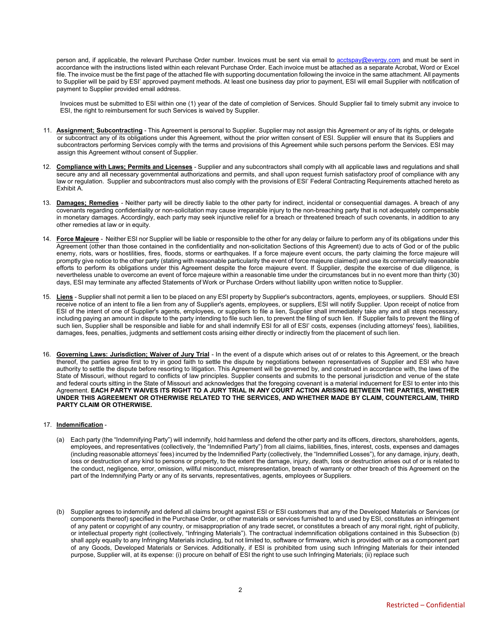person and, if applicable, the relevant Purchase Order number. Invoices must be sent via email t[o acctspay@evergy.com](mailto:acctspay@kcpl.com) and must be sent in accordance with the instructions listed within each relevant Purchase Order. Each invoice must be attached as a separate Acrobat, Word or Excel file. The invoice must be the first page of the attached file with supporting documentation following the invoice in the same attachment. All payments to Supplier will be paid by ESI' approved payment methods. At least one business day prior to payment, ESI will email Supplier with notification of payment to Supplier provided email address.

Invoices must be submitted to ESI within one (1) year of the date of completion of Services. Should Supplier fail to timely submit any invoice to ESI, the right to reimbursement for such Services is waived by Supplier.

- 11. **Assignment; Subcontracting** This Agreement is personal to Supplier. Supplier may not assign this Agreement or any of its rights, or delegate or subcontract any of its obligations under this Agreement, without the prior written consent of ESI. Supplier will ensure that its Suppliers and subcontractors performing Services comply with the terms and provisions of this Agreement while such persons perform the Services. ESI may assign this Agreement without consent of Supplier.
- 12. **Compliance with Laws; Permits and Licenses** Supplier and any subcontractors shall comply with all applicable laws and regulations and shall secure any and all necessary governmental authorizations and permits, and shall upon request furnish satisfactory proof of compliance with any law or regulation. Supplier and subcontractors must also comply with the provisions of ESI' Federal Contracting Requirements attached hereto as Exhibit A.
- 13. **Damages; Remedies** Neither party will be directly liable to the other party for indirect, incidental or consequential damages. A breach of any covenants regarding confidentiality or non-solicitation may cause irreparable injury to the non-breaching party that is not adequately compensable in monetary damages. Accordingly, each party may seek injunctive relief for a breach or threatened breach of such covenants, in addition to any other remedies at law or in equity.
- 14. **Force Majeure** Neither ESI nor Supplier will be liable or responsible to the other for any delay or failure to perform any of its obligations under this Agreement (other than those contained in the confidentiality and non-solicitation Sections of this Agreement) due to acts of God or of the public enemy, riots, wars or hostilities, fires, floods, storms or earthquakes. If a force majeure event occurs, the party claiming the force majeure will promptly give notice to the other party (stating with reasonable particularity the event of force majeure claimed) and use its commercially reasonable efforts to perform its obligations under this Agreement despite the force majeure event. If Supplier, despite the exercise of due diligence, is nevertheless unable to overcome an event of force majeure within a reasonable time under the circumstances but in no event more than thirty (30) days, ESI may terminate any affected Statements of Work or Purchase Orders without liability upon written notice toSupplier.
- 15. **Liens** Supplier shall not permit a lien to be placed on any ESI property by Supplier's subcontractors, agents, employees, or suppliers. Should ESI receive notice of an intent to file a lien from any of Supplier's agents, employees, or suppliers, ESI will notify Supplier. Upon receipt of notice from ESI of the intent of one of Supplier's agents, employees, or suppliers to file a lien, Supplier shall immediately take any and all steps necessary, including paying an amount in dispute to the party intending to file such lien, to prevent the filing of such lien. If Supplier fails to prevent the filing of such lien, Supplier shall be responsible and liable for and shall indemnify ESI for all of ESI' costs, expenses (including attorneys' fees), liabilities, damages, fees, penalties, judgments and settlement costs arising either directly or indirectly from the placement of such lien.
- 16. **Governing Laws: Jurisdiction; Waiver of Jury Trial** In the event of a dispute which arises out of or relates to this Agreement, or the breach thereof, the parties agree first to try in good faith to settle the dispute by negotiations between representatives of Supplier and ESI who have authority to settle the dispute before resorting to litigation. This Agreement will be governed by, and construed in accordance with, the laws of the State of Missouri, without regard to conflicts of law principles. Supplier consents and submits to the personal jurisdiction and venue of the state and federal courts sitting in the State of Missouri and acknowledges that the foregoing covenant is a material inducement for ESI to enter into this Agreement. **EACH PARTY WAIVES ITS RIGHT TO A JURY TRIAL IN ANY COURT ACTION ARISING BETWEEN THE PARTIES, WHETHER UNDER THIS AGREEMENT OR OTHERWISE RELATED TO THE SERVICES, AND WHETHER MADE BY CLAIM, COUNTERCLAIM, THIRD PARTY CLAIM OR OTHERWISE.**

## 17. **Indemnification** -

- (a) Each party (the "Indemnifying Party") will indemnify, hold harmless and defend the other party and its officers, directors, shareholders, agents, employees, and representatives (collectively, the "Indemnified Party") from all claims, liabilities, fines, interest, costs, expenses and damages (including reasonable attorneys' fees) incurred by the Indemnified Party (collectively, the "Indemnified Losses"), for any damage, injury, death, loss or destruction of any kind to persons or property, to the extent the damage, injury, death, loss or destruction arises out of or is related to the conduct, negligence, error, omission, willful misconduct, misrepresentation, breach of warranty or other breach of this Agreement on the part of the Indemnifying Party or any of its servants, representatives, agents, employees or Suppliers.
- (b) Supplier agrees to indemnify and defend all claims brought against ESI or ESI customers that any of the Developed Materials or Services (or components thereof) specified in the Purchase Order, or other materials or services furnished to and used by ESI, constitutes an infringement of any patent or copyright of any country, or misappropriation of any trade secret, or constitutes a breach of any moral right, right of publicity, or intellectual property right (collectively, "Infringing Materials"). The contractual indemnification obligations contained in this Subsection (b) shall apply equally to any Infringing Materials including, but not limited to, software or firmware, which is provided with or as a component part of any Goods, Developed Materials or Services. Additionally, if ESI is prohibited from using such Infringing Materials for their intended purpose, Supplier will, at its expense: (i) procure on behalf of ESI the right to use such Infringing Materials; (ii) replace such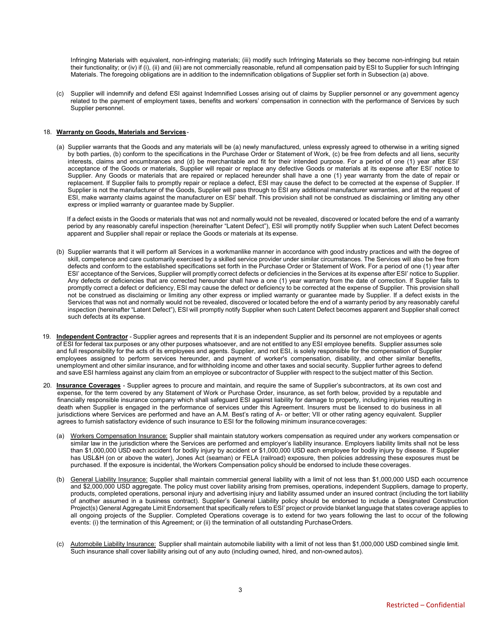Infringing Materials with equivalent, non-infringing materials; (iii) modify such Infringing Materials so they become non-infringing but retain their functionality; or (iv) if (i), (ii) and (iii) are not commercially reasonable, refund all compensation paid by ESI to Supplier for such Infringing Materials. The foregoing obligations are in addition to the indemnification obligations of Supplier set forth in Subsection (a) above.

(c) Supplier will indemnify and defend ESI against Indemnified Losses arising out of claims by Supplier personnel or any government agency related to the payment of employment taxes, benefits and workers' compensation in connection with the performance of Services by such Supplier personnel.

## 18. **Warranty on Goods, Materials and Services**-

(a) Supplier warrants that the Goods and any materials will be (a) newly manufactured, unless expressly agreed to otherwise in a writing signed by both parties, (b) conform to the specifications in the Purchase Order or Statement of Work, (c) be free from defects and all liens, security interests, claims and encumbrances and (d) be merchantable and fit for their intended purpose. For a period of one (1) year after ESI' acceptance of the Goods or materials, Supplier will repair or replace any defective Goods or materials at its expense after ESI' notice to Supplier. Any Goods or materials that are repaired or replaced hereunder shall have a one (1) year warranty from the date of repair or replacement. If Supplier fails to promptly repair or replace a defect, ESI may cause the defect to be corrected at the expense of Supplier. If Supplier is not the manufacturer of the Goods, Supplier will pass through to ESI any additional manufacturer warranties, and at the request of ESI, make warranty claims against the manufacturer on ESI' behalf. This provision shall not be construed as disclaiming or limiting any other express or implied warranty or guarantee made by Supplier.

If a defect exists in the Goods or materials that was not and normally would not be revealed, discovered or located before the end of a warranty period by any reasonably careful inspection (hereinafter "Latent Defect"), ESI will promptly notify Supplier when such Latent Defect becomes apparent and Supplier shall repair or replace the Goods or materials at its expense.

- (b) Supplier warrants that it will perform all Services in a workmanlike manner in accordance with good industry practices and with the degree of skill, competence and care customarily exercised by a skilled service provider under similar circumstances. The Services will also be free from defects and conform to the established specifications set forth in the Purchase Order or Statement of Work. For a period of one (1) year after ESI' acceptance of the Services, Supplier will promptly correct defects or deficiencies in the Services at its expense after ESI' notice to Supplier. Any defects or deficiencies that are corrected hereunder shall have a one (1) year warranty from the date of correction. If Supplier fails to promptly correct a defect or deficiency, ESI may cause the defect or deficiency to be corrected at the expense of Supplier. This provision shall not be construed as disclaiming or limiting any other express or implied warranty or guarantee made by Supplier. If a defect exists in the Services that was not and normally would not be revealed, discovered or located before the end of a warranty period by any reasonably careful inspection (hereinafter "Latent Defect"), ESI will promptly notify Supplier when such Latent Defect becomes apparent and Supplier shall correct such defects at its expense.
- 19. **Independent Contractor** Supplier agrees and represents that it is an independent Supplier and its personnel are not employees or agents of ESI for federal tax purposes or any other purposes whatsoever, and are not entitled to any ESI employee benefits. Supplier assumes sole and full responsibility for the acts of its employees and agents. Supplier, and not ESI, is solely responsible for the compensation of Supplier employees assigned to perform services hereunder, and payment of worker's compensation, disability, and other similar benefits, unemployment and other similar insurance, and for withholding income and other taxes and social security. Supplier further agrees to defend and save ESI harmless against any claim from an employee or subcontractor of Supplier with respect to the subject matter of this Section.
- 20. **Insurance Coverages** Supplier agrees to procure and maintain, and require the same of Supplier's subcontractors, at its own cost and expense, for the term covered by any Statement of Work or Purchase Order, insurance, as set forth below, provided by a reputable and financially responsible insurance company which shall safeguard ESI against liability for damage to property, including injuries resulting in death when Supplier is engaged in the performance of services under this Agreement. Insurers must be licensed to do business in all jurisdictions where Services are performed and have an A.M. Best's rating of A- or better; VII or other rating agency equivalent. Supplier agrees to furnish satisfactory evidence of such insurance to ESI for the following minimum insurancecoverages:
	- (a) Workers Compensation Insurance: Supplier shall maintain statutory workers compensation as required under any workers compensation or similar law in the jurisdiction where the Services are performed and employer's liability insurance. Employers liability limits shall not be less than \$1,000,000 USD each accident for bodily injury by accident or \$1,000,000 USD each employee for bodily injury by disease. If Supplier has USL&H (on or above the water), Jones Act (seaman) or FELA (railroad) exposure, then policies addressing these exposures must be purchased. If the exposure is incidental, the Workers Compensation policy should be endorsed to include these coverages.
	- (b) General Liability Insurance: Supplier shall maintain commercial general liability with a limit of not less than \$1,000,000 USD each occurrence and \$2,000,000 USD aggregate. The policy must cover liability arising from premises, operations, independent Suppliers, damage to property, products, completed operations, personal injury and advertising injury and liability assumed under an insured contract (including the tort liability of another assumed in a business contract). Supplier's General Liability policy should be endorsed to include a Designated Construction Project(s) General Aggregate Limit Endorsement that specifically refers to ESI' project or provide blanket language that states coverage applies to all ongoing projects of the Supplier. Completed Operations coverage is to extend for two years following the last to occur of the following events: (i) the termination of this Agreement; or (ii) the termination of all outstanding Purchase Orders.
	- (c) Automobile Liability Insurance: Supplier shall maintain automobile liability with a limit of not less than \$1,000,000 USD combined single limit. Such insurance shall cover liability arising out of any auto (including owned, hired, and non-owned autos).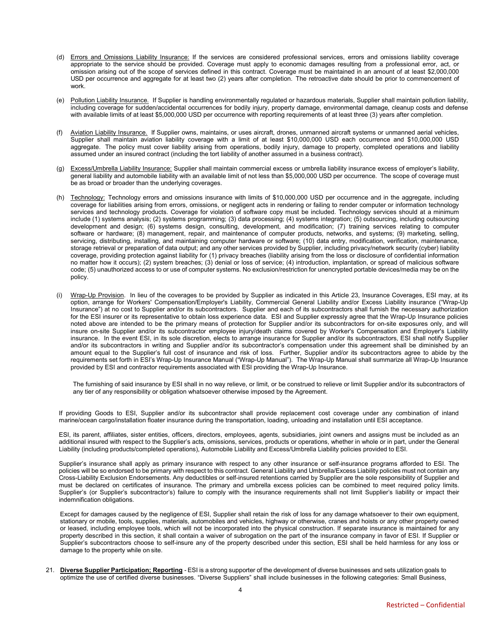- (d) Errors and Omissions Liability Insurance: If the services are considered professional services, errors and omissions liability coverage appropriate to the service should be provided. Coverage must apply to economic damages resulting from a professional error, act, or omission arising out of the scope of services defined in this contract. Coverage must be maintained in an amount of at least \$2,000,000 USD per occurrence and aggregate for at least two (2) years after completion. The retroactive date should be prior to commencement of work.
- (e) Pollution Liability Insurance. If Supplier is handling environmentally regulated or hazardous materials, Supplier shall maintain pollution liability, including coverage for sudden/accidental occurrences for bodily injury, property damage, environmental damage, cleanup costs and defense with available limits of at least \$5,000,000 USD per occurrence with reporting requirements of at least three (3) years after completion.
- (f) Aviation Liability Insurance. If Supplier owns, maintains, or uses aircraft, drones, unmanned aircraft systems or unmanned aerial vehicles, Supplier shall maintain aviation liability coverage with a limit of at least \$10,000,000 USD each occurrence and \$10,000,000 USD aggregate. The policy must cover liability arising from operations, bodily injury, damage to property, completed operations and liability assumed under an insured contract (including the tort liability of another assumed in a business contract).
- (g) Excess/Umbrella Liability Insurance: Supplier shall maintain commercial excess or umbrella liability insurance excess of employer's liability, general liability and automobile liability with an available limit of not less than \$5,000,000 USD per occurrence. The scope of coverage must be as broad or broader than the underlying coverages.
- (h) Technology: Technology errors and omissions insurance with limits of \$10,000,000 USD per occurrence and in the aggregate, including coverage for liabilities arising from errors, omissions, or negligent acts in rendering or failing to render computer or information technology services and technology products. Coverage for violation of software copy must be included. Technology services should at a minimum include (1) systems analysis; (2) systems programming; (3) data processing; (4) systems integration; (5) outsourcing, including outsourcing development and design; (6) systems design, consulting, development, and modification; (7) training services relating to computer software or hardware; (8) management, repair, and maintenance of computer products, networks, and systems; (9) marketing, selling, servicing, distributing, installing, and maintaining computer hardware or software; (10) data entry, modification, verification, maintenance, storage retrieval or preparation of data output; and any other services provided by Supplier, including privacy/network security (cyber) liability coverage, providing protection against liability for (1) privacy breaches (liability arising from the loss or disclosure of confidential information no matter how it occurs); (2) system breaches; (3) denial or loss of service; (4) introduction, implantation, or spread of malicious software code; (5) unauthorized access to or use of computer systems. No exclusion/restriction for unencrypted portable devices/media may be on the policy.
- Wrap-Up Provision. In lieu of the coverages to be provided by Supplier as indicated in this Article 23, Insurance Coverages, ESI may, at its option, arrange for Workers' Compensation/Employer's Liability, Commercial General Liability and/or Excess Liability insurance ("Wrap-Up Insurance") at no cost to Supplier and/or its subcontractors. Supplier and each of its subcontractors shall furnish the necessary authorization for the ESI insurer or its representative to obtain loss experience data. ESI and Supplier expressly agree that the Wrap-Up Insurance policies noted above are intended to be the primary means of protection for Supplier and/or its subcontractors for on-site exposures only, and will insure on-site Supplier and/or its subcontractor employee injury/death claims covered by Worker's Compensation and Employer's Liability insurance. In the event ESI, in its sole discretion, elects to arrange insurance for Supplier and/or its subcontractors, ESI shall notify Supplier and/or its subcontractors in writing and Supplier and/or its subcontractor's compensation under this agreement shall be diminished by an amount equal to the Supplier's full cost of insurance and risk of loss. Further, Supplier and/or its subcontractors agree to abide by the requirements set forth in ESI's Wrap-Up Insurance Manual ("Wrap-Up Manual"). The Wrap-Up Manual shall summarize all Wrap-Up Insurance provided by ESI and contractor requirements associated with ESI providing the Wrap-Up Insurance.

The furnishing of said insurance by ESI shall in no way relieve, or limit, or be construed to relieve or limit Supplier and/or its subcontractors of any tier of any responsibility or obligation whatsoever otherwise imposed by the Agreement.

If providing Goods to ESI, Supplier and/or its subcontractor shall provide replacement cost coverage under any combination of inland marine/ocean cargo/installation floater insurance during the transportation, loading, unloading and installation until ESI acceptance.

ESI, its parent, affiliates, sister entities, officers, directors, employees, agents, subsidiaries, joint owners and assigns must be included as an additional insured with respect to the Supplier's acts, omissions, services, products or operations, whether in whole or in part, under the General Liability (including products/completed operations), Automobile Liability and Excess/Umbrella Liability policies provided to ESI.

Supplier's insurance shall apply as primary insurance with respect to any other insurance or self-insurance programs afforded to ESI. The policies will be so endorsed to be primary with respect to this contract. General Liability and Umbrella/Excess Liability policies must not contain any Cross-Liability Exclusion Endorsements. Any deductibles or self-insured retentions carried by Supplier are the sole responsibility of Supplier and must be declared on certificates of insurance. The primary and umbrella excess policies can be combined to meet required policy limits. Supplier's (or Supplier's subcontractor's) failure to comply with the insurance requirements shall not limit Supplier's liability or impact their indemnification obligations.

Except for damages caused by the negligence of ESI, Supplier shall retain the risk of loss for any damage whatsoever to their own equipment, stationary or mobile, tools, supplies, materials, automobiles and vehicles, highway or otherwise, cranes and hoists or any other property owned or leased, including employee tools, which will not be incorporated into the physical construction. If separate insurance is maintained for any property described in this section, it shall contain a waiver of subrogation on the part of the insurance company in favor of ESI. If Supplier or Supplier's subcontractors choose to self-insure any of the property described under this section, ESI shall be held harmless for any loss or damage to the property while on site.

21. **Diverse Supplier Participation; Reporting** - ESI is a strong supporter of the development of diverse businesses and sets utilization goals to optimize the use of certified diverse businesses. "Diverse Suppliers" shall include businesses in the following categories: Small Business,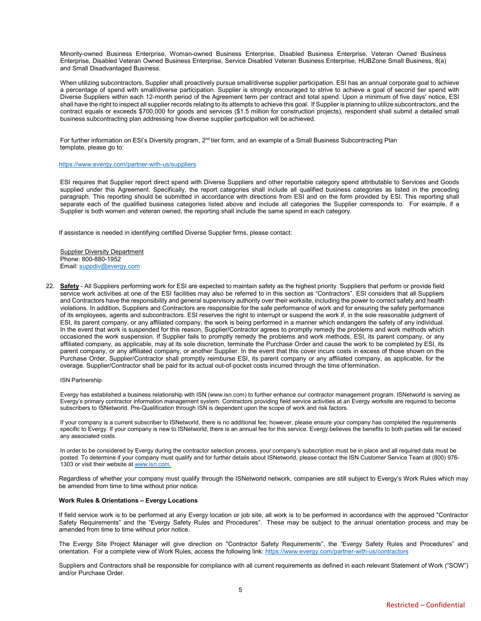Minority-owned Business Enterprise, Woman-owned Business Enterprise, Disabled Business Enterprise, Veteran Owned Business Enterprise, Disabled Veteran Owned Business Enterprise, Service Disabled Veteran Business Enterprise, HUBZone Small Business, 8(a) and Small Disadvantaged Business.

When utilizing subcontractors, Supplier shall proactively pursue small/diverse supplier participation. ESI has an annual corporate goal to achieve a percentage of spend with small/diverse participation. Supplier is strongly encouraged to strive to achieve a goal of second tier spend with Diverse Suppliers within each 12-month period of the Agreement term per contract and total spend. Upon a minimum of five days' notice, ESI shall have the right to inspect all supplier records relating to its attempts to achieve this goal. If Supplier is planning to utilize subcontractors, and the contract equals or exceeds \$700,000 for goods and services (\$1.5 million for construction projects), respondent shall submit a detailed small business subcontracting plan addressing how diverse supplier participation will be achieved.

For further information on ESI's Diversity program, 2<sup>nd</sup> tier form, and an example of a Small Business Subcontracting Plan template, please go to:

## <https://www.evergy.com/partner-with-us/suppliers>

ESI requires that Supplier report direct spend with Diverse Suppliers and other reportable category spend attributable to Services and Goods supplied under this Agreement. Specifically, the report categories shall include all qualified business categories as listed in the preceding paragraph. This reporting should be submitted in accordance with directions from ESI and on the form provided by ESI. This reporting shall separate each of the qualified business categories listed above and include all categories the Supplier corresponds to. For example, if a Supplier is both women and veteran owned, the reporting shall include the same spend in each category.

If assistance is needed in identifying certified Diverse Supplier firms, please contact:

**Supplier Diversity Department** Phone: 800-880-1952 Email: [suppdiv@evergy.com](mailto:suppdiv@evergy.com)

22. **Safety** - All Suppliers performing work for ESI are expected to maintain safety as the highest priority. Suppliers that perform or provide field service work activities at one of the ESI facilities may also be referred to in this section as "Contractors". ESI considers that all Suppliers and Contractors have the responsibility and general supervisory authority over their worksite, including the power to correct safety and health violations. In addition, Suppliers and Contractors are responsible for the safe performance of work and for ensuring the safety performance of its employees, agents and subcontractors. ESI reserves the right to interrupt or suspend the work if, in the sole reasonable judgment of ESI, its parent company, or any affiliated company, the work is being performed in a manner which endangers the safety of any individual. In the event that work is suspended for this reason, Supplier/Contractor agrees to promptly remedy the problems and work methods which occasioned the work suspension. If Supplier fails to promptly remedy the problems and work methods, ESI, its parent company, or any affiliated company, as applicable, may at its sole discretion, terminate the Purchase Order and cause the work to be completed by ESI, its parent company, or any affiliated company, or another Supplier. In the event that this cover incurs costs in excess of those shown on the Purchase Order, Supplier/Contractor shall promptly reimburse ESI, its parent company or any affiliated company, as applicable, for the overage. Supplier/Contractor shall be paid for its actual out-of-pocket costs incurred through the time oftermination.

#### ISN Partnership

Evergy has established a business relationship with ISN (www.isn.com) to further enhance our contractor management program. ISNetworld is serving as Evergy's primary contractor information management system. Contractors providing field service activities at an Evergy worksite are required to become subscribers to ISNetworld. Pre-Qualification through ISN is dependent upon the scope of work and risk factors.

If your company is a current subscriber to ISNetworld, there is no additional fee; however, please ensure your company has completed the requirements specific to Evergy. If your company is new to ISNetworld, there is an annual fee for this service. Evergy believes the benefits to both parties will far exceed any associated costs.

In order to be considered by Evergy during the contractor selection process, your company's subscription must be in place and all required data must be posted. To determine if your company must qualify and for further details about ISNetworld, please contact the ISN Customer Service Team at (800) 976- 1303 or visit their website a[t www.isn.com.](http://www.isn.com./)

Regardless of whether your company must qualify through the ISNetworld network, companies are still subject to Evergy's Work Rules which may be amended from time to time without prior notice.

#### **Work Rules & Orientations – Evergy Locations**

If field service work is to be performed at any Evergy location or job site, all work is to be performed in accordance with the approved "Contractor Safety Requirements" and the "Evergy Safety Rules and Procedures". These may be subject to the annual orientation process and may be amended from time to time without prior notice.

The Evergy Site Project Manager will give direction on "Contractor Safety Requirements", the "Evergy Safety Rules and Procedures" and orientation. For a complete view of Work Rules, access the following link:<https://www.evergy.com/partner-with-us/contractors>

Suppliers and Contractors shall be responsible for compliance with all current requirements as defined in each relevant Statement of Work ("SOW") and/or Purchase Order.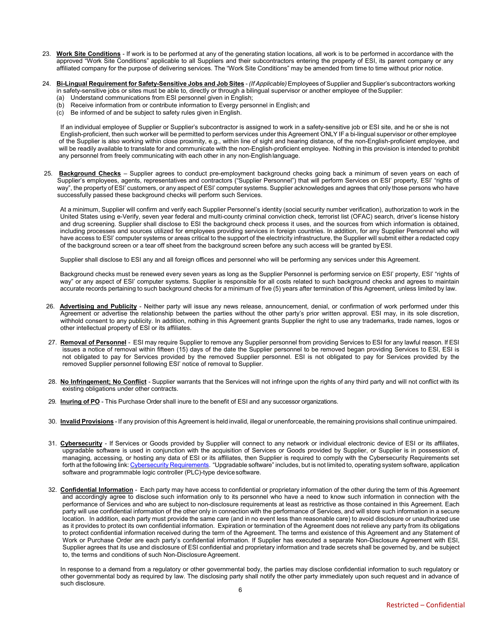- 23. **Work Site Conditions** If work is to be performed at any of the generating station locations, all work is to be performed in accordance with the approved "Work Site Conditions" applicable to all Suppliers and their subcontractors entering the property of ESI, its parent company or any affiliated company for the purpose of delivering services. The "Work Site Conditions" may be amended from time to time without prior notice.
- 24. **Bi-Lingual Requirement for Safety-Sensitive Jobs and Job Sites** *(If Applicable)*Employees of Supplier and Supplier's subcontractors working in safety-sensitive jobs or sites must be able to, directly or through a bilingual supervisor or another employee of theSupplier: (a) Understand communications from ESI personnel given in English;
	- (b) Receive information from or contribute information to Evergy personnel in English; and
	- (c) Be informed of and be subject to safety rules given inEnglish.

If an individual employee of Supplier or Supplier's subcontractor is assigned to work in a safety-sensitive job or ESI site, and he or she is not English-proficient, then such worker will be permitted to perform services under this Agreement ONLY IF a bi-lingual supervisor or other employee of the Supplier is also working within close proximity, e.g., within line of sight and hearing distance, of the non-English-proficient employee, and will be readily available to translate for and communicate with the non-English-proficient employee. Nothing in this provision is intended to prohibit any personnel from freely communicating with each other in any non-Englishlanguage.

25. **Background Checks** – Supplier agrees to conduct pre-employment background checks going back a minimum of seven years on each of Supplier's employees, agents, representatives and contractors ("Supplier Personnel") that will perform Services on ESI' property, ESI' "rights of way", the property of ESI' customers, or any aspect of ESI' computer systems. Supplier acknowledges and agrees that only those persons who have successfully passed these background checks will perform such Services.

At a minimum, Supplier will confirm and verify each Supplier Personnel's identity (social security number verification), authorization to work in the United States using e-Verify, seven year federal and multi-county criminal conviction check, terrorist list (OFAC) search, driver's license history and drug screening. Supplier shall disclose to ESI the background check process it uses, and the sources from which information is obtained, including processes and sources utilized for employees providing services in foreign countries. In addition, for any Supplier Personnel who will have access to ESI' computer systems or areas critical to the support of the electricity infrastructure, the Supplier will submit either a redacted copy of the background screen or a tear off sheet from the background screen before any such access will be granted byESI.

Supplier shall disclose to ESI any and all foreign offices and personnel who will be performing any services under this Agreement.

Background checks must be renewed every seven years as long as the Supplier Personnel is performing service on ESI' property, ESI' "rights of way" or any aspect of ESI' computer systems. Supplier is responsible for all costs related to such background checks and agrees to maintain accurate records pertaining to such background checks for a minimum of five (5) years after termination of this Agreement, unless limited by law.

- 26. **Advertising and Publicity** Neither party will issue any news release, announcement, denial, or confirmation of work performed under this Agreement or advertise the relationship between the parties without the other party's prior written approval. ESI may, in its sole discretion, withhold consent to any publicity. In addition, nothing in this Agreement grants Supplier the right to use any trademarks, trade names, logos or other intellectual property of ESI or its affiliates.
- 27. **Removal of Personnel** ESI may require Supplier to remove any Supplier personnel from providing Services to ESI for any lawful reason. If ESI issues a notice of removal within fifteen (15) days of the date the Supplier personnel to be removed began providing Services to ESI, ESI is not obligated to pay for Services provided by the removed Supplier personnel. ESI is not obligated to pay for Services provided by the removed Supplier personnel following ESI' notice of removal to Supplier.
- 28. **No Infringement; No Conflict** Supplier warrants that the Services will not infringe upon the rights of any third party and will not conflict with its existing obligations under other contracts.
- 29. **Inuring of PO** This Purchase Order shall inure to the benefit of ESI and any successor organizations.
- 30. **Invalid Provisions** If any provision of this Agreement is held invalid, illegal or unenforceable, the remaining provisions shall continue unimpaired.
- 31. **Cybersecurity** If Services or Goods provided by Supplier will connect to any network or individual electronic device of ESI or its affiliates, upgradable software is used in conjunction with the acquisition of Services or Goods provided by Supplier, or Supplier is in possession of, managing, accessing, or hosting any data of ESI or its affiliates, then Supplier is required to comply with the Cybersecurity Requirements set forth at the following link: Cybersecurity [Requirements. "](https://www.evergy.com/-/media/documents/partnering-with-us/cybersecurity-requirements)Upgradable software" includes, but is not limited to, operating system software, application software and programmable logic controller (PLC)-type devicesoftware.
- 32. **Confidential Information** Each party may have access to confidential or proprietary information of the other during the term of this Agreement and accordingly agree to disclose such information only to its personnel who have a need to know such information in connection with the performance of Services and who are subject to non-disclosure requirements at least as restrictive as those contained in this Agreement. Each party will use confidential information of the other only in connection with the performance of Services, and will store such information in a secure location. In addition, each party must provide the same care (and in no event less than reasonable care) to avoid disclosure or unauthorized use as it provides to protect its own confidential information. Expiration or termination of the Agreement does not relieve any party from its obligations to protect confidential information received during the term of the Agreement. The terms and existence of this Agreement and any Statement of Work or Purchase Order are each party's confidential information. If Supplier has executed a separate Non-Disclosure Agreement with ESI, Supplier agrees that its use and disclosure of ESI confidential and proprietary information and trade secrets shall be governed by, and be subject to, the terms and conditions of such Non-Disclosure Agreement.

In response to a demand from a regulatory or other governmental body, the parties may disclose confidential information to such regulatory or other governmental body as required by law. The disclosing party shall notify the other party immediately upon such request and in advance of such disclosure.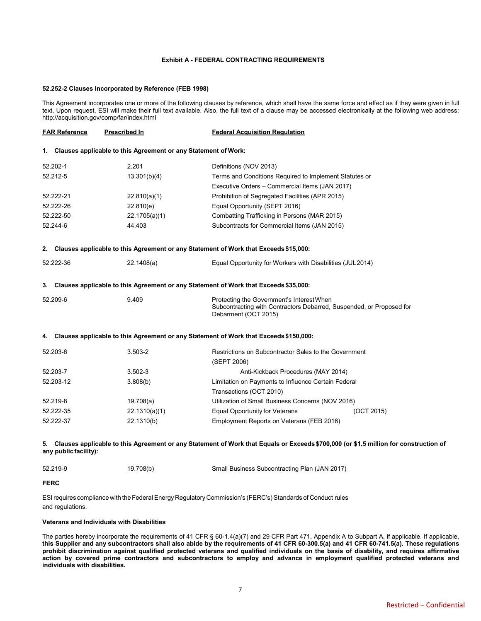### **Exhibit A - FEDERAL CONTRACTING REQUIREMENTS**

#### **52.252-2 Clauses Incorporated by Reference (FEB 1998)**

This Agreement incorporates one or more of the following clauses by reference, which shall have the same force and effect as if they were given in full text. Upon request, ESI will make their full text available. Also, the full text of a clause may be accessed electronically at the following web address: <http://acquisition.gov/comp/far/index.html>

| <b>FAR Reference</b>       |                       | <b>Prescribed In</b>                                              | <b>Federal Acquisition Requlation</b>                                                                                                     |            |
|----------------------------|-----------------------|-------------------------------------------------------------------|-------------------------------------------------------------------------------------------------------------------------------------------|------------|
|                            |                       | 1. Clauses applicable to this Agreement or any Statement of Work: |                                                                                                                                           |            |
|                            | 52.202-1              | 2.201                                                             | Definitions (NOV 2013)                                                                                                                    |            |
| 52.212-5<br>13.301(b)(4)   |                       |                                                                   | Terms and Conditions Required to Implement Statutes or                                                                                    |            |
|                            |                       |                                                                   | Executive Orders - Commercial Items (JAN 2017)                                                                                            |            |
| 52.222-21<br>22.810(a)(1)  |                       |                                                                   | Prohibition of Segregated Facilities (APR 2015)                                                                                           |            |
| 52.222-26<br>22.810(e)     |                       |                                                                   | Equal Opportunity (SEPT 2016)                                                                                                             |            |
| 52.222-50<br>22.1705(a)(1) |                       |                                                                   | Combatting Trafficking in Persons (MAR 2015)                                                                                              |            |
| 52.244-6                   |                       | 44.403                                                            | Subcontracts for Commercial Items (JAN 2015)                                                                                              |            |
|                            |                       |                                                                   | 2. Clauses applicable to this Agreement or any Statement of Work that Exceeds \$15,000:                                                   |            |
| 52.222-36                  |                       | 22.1408(a)                                                        | Equal Opportunity for Workers with Disabilities (JUL2014)                                                                                 |            |
|                            |                       |                                                                   | 3. Clauses applicable to this Agreement or any Statement of Work that Exceeds \$35,000:                                                   |            |
| 52.209-6                   |                       | 9.409                                                             | Protecting the Government's Interest When<br>Subcontracting with Contractors Debarred, Suspended, or Proposed for<br>Debarment (OCT 2015) |            |
|                            |                       |                                                                   | 4. Clauses applicable to this Agreement or any Statement of Work that Exceeds \$150,000:                                                  |            |
| 52.203-6                   |                       | 3.503-2                                                           | Restrictions on Subcontractor Sales to the Government<br>(SEPT 2006)                                                                      |            |
|                            | 52.203-7              | $3.502 - 3$                                                       | Anti-Kickback Procedures (MAY 2014)                                                                                                       |            |
| 52.203-12                  |                       | 3.808(b)                                                          | Limitation on Payments to Influence Certain Federal                                                                                       |            |
|                            |                       |                                                                   | Transactions (OCT 2010)                                                                                                                   |            |
| 52.219-8                   |                       | 19.708(a)                                                         | Utilization of Small Business Concerns (NOV 2016)                                                                                         |            |
|                            | 52.222-35             | 22.1310(a)(1)                                                     | <b>Equal Opportunity for Veterans</b>                                                                                                     | (OCT 2015) |
|                            | 52.222-37             | 22.1310(b)                                                        | Employment Reports on Veterans (FEB 2016)                                                                                                 |            |
|                            | any public facility): |                                                                   | 5. Clauses applicable to this Agreement or any Statement of Work that Equals or Exceeds \$700,000 (or \$1.5 million for construction of   |            |

| 52.219-9 | 19.708(b) | Small Business Subcontracting Plan (JAN 2017) |
|----------|-----------|-----------------------------------------------|
|----------|-----------|-----------------------------------------------|

# **FERC**

ESI requires compliance with the Federal Energy Regulatory Commission's (FERC's) Standards of Conduct rules and regulations.

# **Veterans and Individuals with Disabilities**

The parties hereby incorporate the requirements of 41 CFR § 60-1.4(a)(7) and 29 CFR Part 471, Appendix A to Subpart A, if applicable. If applicable, **this Supplier and any subcontractors shall also abide by the requirements of 41 CFR 60-300.5(a) and 41 CFR 60-741.5(a). These regulations prohibit discrimination against qualified protected veterans and qualified individuals on the basis of disability, and requires affirmative action by covered prime contractors and subcontractors to employ and advance in employment qualified protected veterans and individuals with disabilities.**